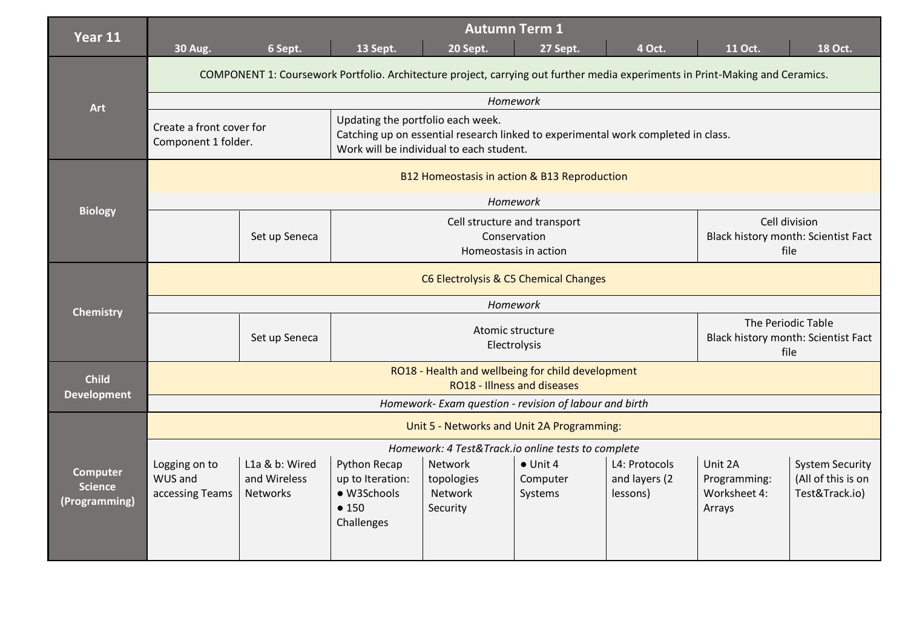| Year 11                                            | <b>Autumn Term 1</b><br>6 Sept.<br>13 Sept.<br>4 Oct.<br>11 Oct.<br>18 Oct.<br><b>30 Aug.</b><br>20 Sept.<br>27 Sept.                      |                                                   |                                                                                                                                                                    |                                                     |                                         |                                                              |                                                   |                                                                |  |
|----------------------------------------------------|--------------------------------------------------------------------------------------------------------------------------------------------|---------------------------------------------------|--------------------------------------------------------------------------------------------------------------------------------------------------------------------|-----------------------------------------------------|-----------------------------------------|--------------------------------------------------------------|---------------------------------------------------|----------------------------------------------------------------|--|
|                                                    | COMPONENT 1: Coursework Portfolio. Architecture project, carrying out further media experiments in Print-Making and Ceramics.              |                                                   |                                                                                                                                                                    |                                                     |                                         |                                                              |                                                   |                                                                |  |
| Art                                                | Homework                                                                                                                                   |                                                   |                                                                                                                                                                    |                                                     |                                         |                                                              |                                                   |                                                                |  |
|                                                    | Create a front cover for<br>Component 1 folder.                                                                                            |                                                   | Updating the portfolio each week.<br>Catching up on essential research linked to experimental work completed in class.<br>Work will be individual to each student. |                                                     |                                         |                                                              |                                                   |                                                                |  |
|                                                    |                                                                                                                                            | B12 Homeostasis in action & B13 Reproduction      |                                                                                                                                                                    |                                                     |                                         |                                                              |                                                   |                                                                |  |
| <b>Biology</b>                                     |                                                                                                                                            |                                                   |                                                                                                                                                                    |                                                     | Homework                                |                                                              |                                                   |                                                                |  |
|                                                    |                                                                                                                                            | Set up Seneca                                     | Cell structure and transport<br>Conservation<br>Homeostasis in action                                                                                              |                                                     |                                         | Cell division<br>Black history month: Scientist Fact<br>file |                                                   |                                                                |  |
|                                                    | C6 Electrolysis & C5 Chemical Changes                                                                                                      |                                                   |                                                                                                                                                                    |                                                     |                                         |                                                              |                                                   |                                                                |  |
| <b>Chemistry</b>                                   | Homework                                                                                                                                   |                                                   |                                                                                                                                                                    |                                                     |                                         |                                                              |                                                   |                                                                |  |
|                                                    |                                                                                                                                            | Set up Seneca                                     |                                                                                                                                                                    | Atomic structure<br>Electrolysis                    | file                                    | The Periodic Table<br>Black history month: Scientist Fact    |                                                   |                                                                |  |
| <b>Child</b>                                       | RO18 - Health and wellbeing for child development<br>RO18 - Illness and diseases<br>Homework- Exam question - revision of labour and birth |                                                   |                                                                                                                                                                    |                                                     |                                         |                                                              |                                                   |                                                                |  |
| <b>Development</b>                                 |                                                                                                                                            |                                                   |                                                                                                                                                                    |                                                     |                                         |                                                              |                                                   |                                                                |  |
|                                                    | Unit 5 - Networks and Unit 2A Programming:                                                                                                 |                                                   |                                                                                                                                                                    |                                                     |                                         |                                                              |                                                   |                                                                |  |
| <b>Computer</b><br><b>Science</b><br>(Programming) | Homework: 4 Test&Track.io online tests to complete                                                                                         |                                                   |                                                                                                                                                                    |                                                     |                                         |                                                              |                                                   |                                                                |  |
|                                                    | Logging on to<br>WUS and<br>accessing Teams                                                                                                | L1a & b: Wired<br>and Wireless<br><b>Networks</b> | Python Recap<br>up to Iteration:<br>· W3Schools<br>•150<br>Challenges                                                                                              | Network<br>topologies<br><b>Network</b><br>Security | $\bullet$ Unit 4<br>Computer<br>Systems | L4: Protocols<br>and layers (2<br>lessons)                   | Unit 2A<br>Programming:<br>Worksheet 4:<br>Arrays | <b>System Security</b><br>(All of this is on<br>Test&Track.io) |  |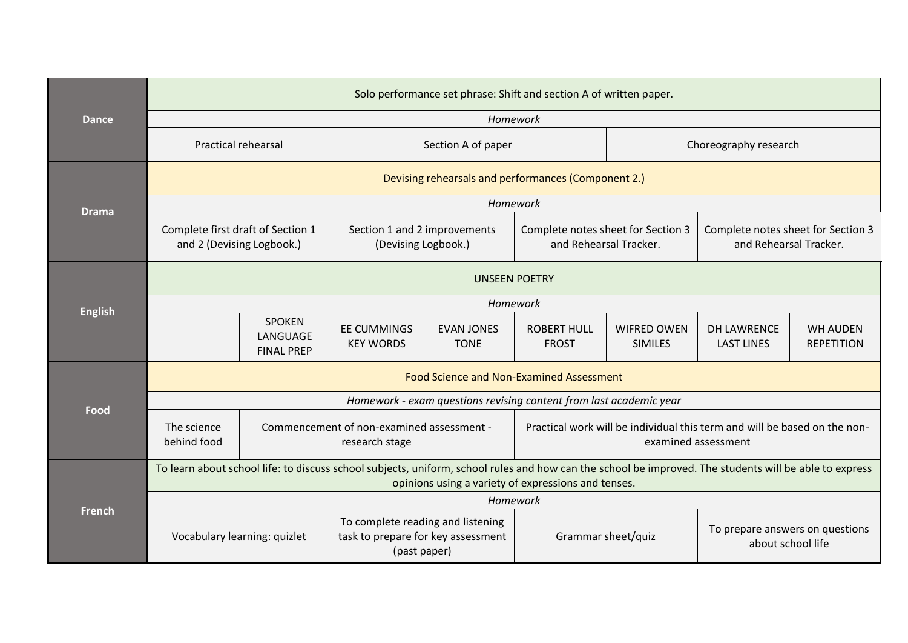| Dance          | Solo performance set phrase: Shift and section A of written paper.                                                                                                                                            |                                                             |                                                     |                                  |                                                                                                  |                                      |                                                              |                                      |  |  |
|----------------|---------------------------------------------------------------------------------------------------------------------------------------------------------------------------------------------------------------|-------------------------------------------------------------|-----------------------------------------------------|----------------------------------|--------------------------------------------------------------------------------------------------|--------------------------------------|--------------------------------------------------------------|--------------------------------------|--|--|
|                | Homework                                                                                                                                                                                                      |                                                             |                                                     |                                  |                                                                                                  |                                      |                                                              |                                      |  |  |
|                | <b>Practical rehearsal</b>                                                                                                                                                                                    |                                                             | Section A of paper                                  |                                  |                                                                                                  | Choreography research                |                                                              |                                      |  |  |
|                |                                                                                                                                                                                                               | Devising rehearsals and performances (Component 2.)         |                                                     |                                  |                                                                                                  |                                      |                                                              |                                      |  |  |
| <b>Drama</b>   |                                                                                                                                                                                                               |                                                             |                                                     |                                  | Homework                                                                                         |                                      |                                                              |                                      |  |  |
|                | Complete first draft of Section 1<br>and 2 (Devising Logbook.)                                                                                                                                                |                                                             | Section 1 and 2 improvements<br>(Devising Logbook.) |                                  | Complete notes sheet for Section 3<br>and Rehearsal Tracker.                                     |                                      | Complete notes sheet for Section 3<br>and Rehearsal Tracker. |                                      |  |  |
|                |                                                                                                                                                                                                               | <b>UNSEEN POETRY</b>                                        |                                                     |                                  |                                                                                                  |                                      |                                                              |                                      |  |  |
| <b>English</b> | Homework                                                                                                                                                                                                      |                                                             |                                                     |                                  |                                                                                                  |                                      |                                                              |                                      |  |  |
|                |                                                                                                                                                                                                               | <b>SPOKEN</b><br>LANGUAGE<br><b>FINAL PREP</b>              | <b>EE CUMMINGS</b><br><b>KEY WORDS</b>              | <b>EVAN JONES</b><br><b>TONE</b> | <b>ROBERT HULL</b><br><b>FROST</b>                                                               | <b>WIFRED OWEN</b><br><b>SIMILES</b> | <b>DH LAWRENCE</b><br><b>LAST LINES</b>                      | <b>WH AUDEN</b><br><b>REPETITION</b> |  |  |
|                | <b>Food Science and Non-Examined Assessment</b>                                                                                                                                                               |                                                             |                                                     |                                  |                                                                                                  |                                      |                                                              |                                      |  |  |
| Food           | Homework - exam questions revising content from last academic year                                                                                                                                            |                                                             |                                                     |                                  |                                                                                                  |                                      |                                                              |                                      |  |  |
|                | The science<br>behind food                                                                                                                                                                                    | Commencement of non-examined assessment -<br>research stage |                                                     |                                  | Practical work will be individual this term and will be based on the non-<br>examined assessment |                                      |                                                              |                                      |  |  |
| French         | To learn about school life: to discuss school subjects, uniform, school rules and how can the school be improved. The students will be able to express<br>opinions using a variety of expressions and tenses. |                                                             |                                                     |                                  |                                                                                                  |                                      |                                                              |                                      |  |  |
|                | Homework                                                                                                                                                                                                      |                                                             |                                                     |                                  |                                                                                                  |                                      |                                                              |                                      |  |  |
|                | To complete reading and listening<br>task to prepare for key assessment<br>Vocabulary learning: quizlet<br>(past paper)                                                                                       |                                                             |                                                     |                                  | To prepare answers on questions<br>Grammar sheet/quiz<br>about school life                       |                                      |                                                              |                                      |  |  |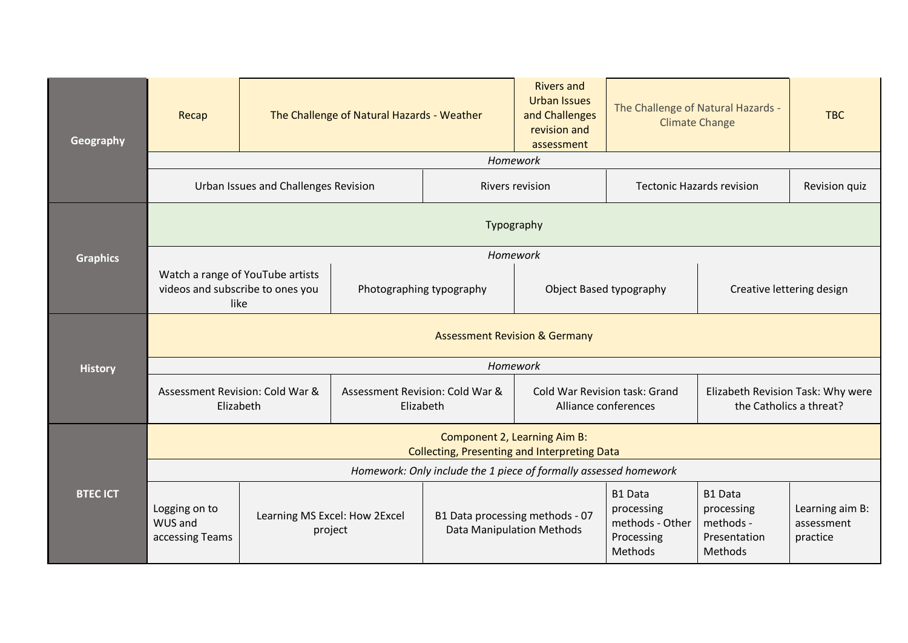| Geography       | Recap                                                                                   | The Challenge of Natural Hazards - Weather |                                              |                                                                     | <b>Rivers and</b><br><b>Urban Issues</b><br>and Challenges<br>revision and<br>assessment | The Challenge of Natural Hazards -<br><b>Climate Change</b>              |                                                                      | <b>TBC</b>                                |  |
|-----------------|-----------------------------------------------------------------------------------------|--------------------------------------------|----------------------------------------------|---------------------------------------------------------------------|------------------------------------------------------------------------------------------|--------------------------------------------------------------------------|----------------------------------------------------------------------|-------------------------------------------|--|
|                 | Homework                                                                                |                                            |                                              |                                                                     |                                                                                          |                                                                          |                                                                      |                                           |  |
|                 | Urban Issues and Challenges Revision                                                    |                                            |                                              |                                                                     | <b>Tectonic Hazards revision</b><br><b>Rivers revision</b>                               |                                                                          |                                                                      | Revision quiz                             |  |
|                 |                                                                                         | Typography                                 |                                              |                                                                     |                                                                                          |                                                                          |                                                                      |                                           |  |
| <b>Graphics</b> |                                                                                         |                                            |                                              | Homework                                                            |                                                                                          |                                                                          |                                                                      |                                           |  |
|                 | Watch a range of YouTube artists<br>videos and subscribe to ones you<br>like            |                                            | Photographing typography                     |                                                                     | Object Based typography                                                                  |                                                                          | Creative lettering design                                            |                                           |  |
|                 | <b>Assessment Revision &amp; Germany</b>                                                |                                            |                                              |                                                                     |                                                                                          |                                                                          |                                                                      |                                           |  |
| <b>History</b>  | Homework                                                                                |                                            |                                              |                                                                     |                                                                                          |                                                                          |                                                                      |                                           |  |
|                 | Assessment Revision: Cold War &<br>Elizabeth                                            |                                            | Assessment Revision: Cold War &<br>Elizabeth | Cold War Revision task: Grand<br>Alliance conferences               |                                                                                          | Elizabeth Revision Task: Why were<br>the Catholics a threat?             |                                                                      |                                           |  |
| <b>BTEC ICT</b> | Component 2, Learning Aim B:<br><b>Collecting, Presenting and Interpreting Data</b>     |                                            |                                              |                                                                     |                                                                                          |                                                                          |                                                                      |                                           |  |
|                 | Homework: Only include the 1 piece of formally assessed homework                        |                                            |                                              |                                                                     |                                                                                          |                                                                          |                                                                      |                                           |  |
|                 | Logging on to<br>Learning MS Excel: How 2Excel<br>WUS and<br>project<br>accessing Teams |                                            |                                              | B1 Data processing methods - 07<br><b>Data Manipulation Methods</b> |                                                                                          | <b>B1 Data</b><br>processing<br>methods - Other<br>Processing<br>Methods | <b>B1 Data</b><br>processing<br>methods -<br>Presentation<br>Methods | Learning aim B:<br>assessment<br>practice |  |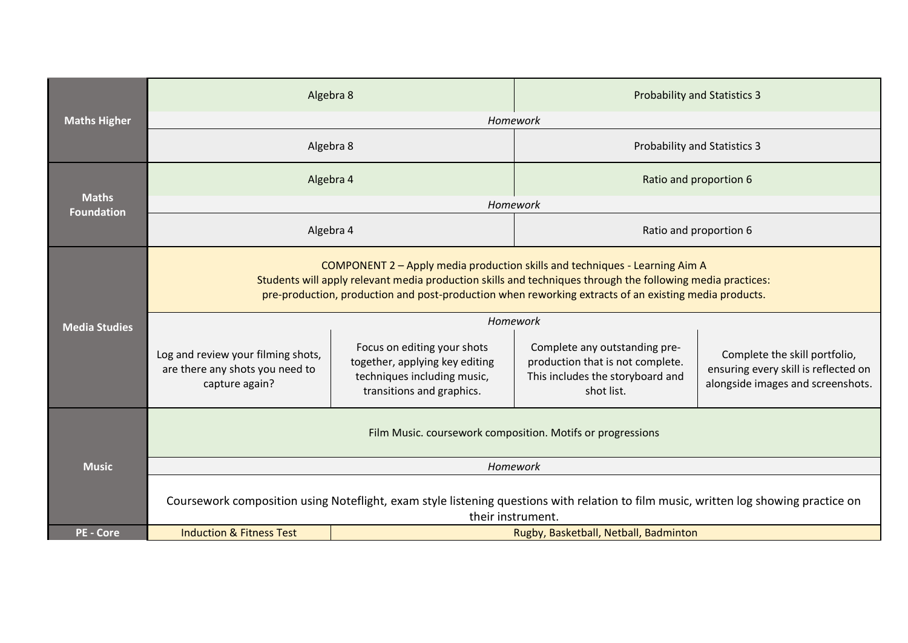|                                   | Algebra 8                                                                                                                                                                                                                                                                                          |                                                                                                                           | <b>Probability and Statistics 3</b>                                                                                 |                                                                                                            |  |  |  |  |
|-----------------------------------|----------------------------------------------------------------------------------------------------------------------------------------------------------------------------------------------------------------------------------------------------------------------------------------------------|---------------------------------------------------------------------------------------------------------------------------|---------------------------------------------------------------------------------------------------------------------|------------------------------------------------------------------------------------------------------------|--|--|--|--|
| <b>Maths Higher</b>               | Homework                                                                                                                                                                                                                                                                                           |                                                                                                                           |                                                                                                                     |                                                                                                            |  |  |  |  |
|                                   | Algebra 8                                                                                                                                                                                                                                                                                          |                                                                                                                           | <b>Probability and Statistics 3</b>                                                                                 |                                                                                                            |  |  |  |  |
|                                   | Algebra 4                                                                                                                                                                                                                                                                                          |                                                                                                                           | Ratio and proportion 6                                                                                              |                                                                                                            |  |  |  |  |
| <b>Maths</b><br><b>Foundation</b> |                                                                                                                                                                                                                                                                                                    | Homework                                                                                                                  |                                                                                                                     |                                                                                                            |  |  |  |  |
|                                   | Algebra 4                                                                                                                                                                                                                                                                                          |                                                                                                                           | Ratio and proportion 6                                                                                              |                                                                                                            |  |  |  |  |
|                                   | COMPONENT 2 - Apply media production skills and techniques - Learning Aim A<br>Students will apply relevant media production skills and techniques through the following media practices:<br>pre-production, production and post-production when reworking extracts of an existing media products. |                                                                                                                           |                                                                                                                     |                                                                                                            |  |  |  |  |
| <b>Media Studies</b>              | Homework                                                                                                                                                                                                                                                                                           |                                                                                                                           |                                                                                                                     |                                                                                                            |  |  |  |  |
| <b>Music</b>                      | Log and review your filming shots,<br>are there any shots you need to<br>capture again?                                                                                                                                                                                                            | Focus on editing your shots<br>together, applying key editing<br>techniques including music,<br>transitions and graphics. | Complete any outstanding pre-<br>production that is not complete.<br>This includes the storyboard and<br>shot list. | Complete the skill portfolio,<br>ensuring every skill is reflected on<br>alongside images and screenshots. |  |  |  |  |
|                                   | Film Music. coursework composition. Motifs or progressions                                                                                                                                                                                                                                         |                                                                                                                           |                                                                                                                     |                                                                                                            |  |  |  |  |
|                                   | Homework                                                                                                                                                                                                                                                                                           |                                                                                                                           |                                                                                                                     |                                                                                                            |  |  |  |  |
|                                   | Coursework composition using Noteflight, exam style listening questions with relation to film music, written log showing practice on<br>their instrument.                                                                                                                                          |                                                                                                                           |                                                                                                                     |                                                                                                            |  |  |  |  |
| <b>PE - Core</b>                  | <b>Induction &amp; Fitness Test</b>                                                                                                                                                                                                                                                                |                                                                                                                           | Rugby, Basketball, Netball, Badminton                                                                               |                                                                                                            |  |  |  |  |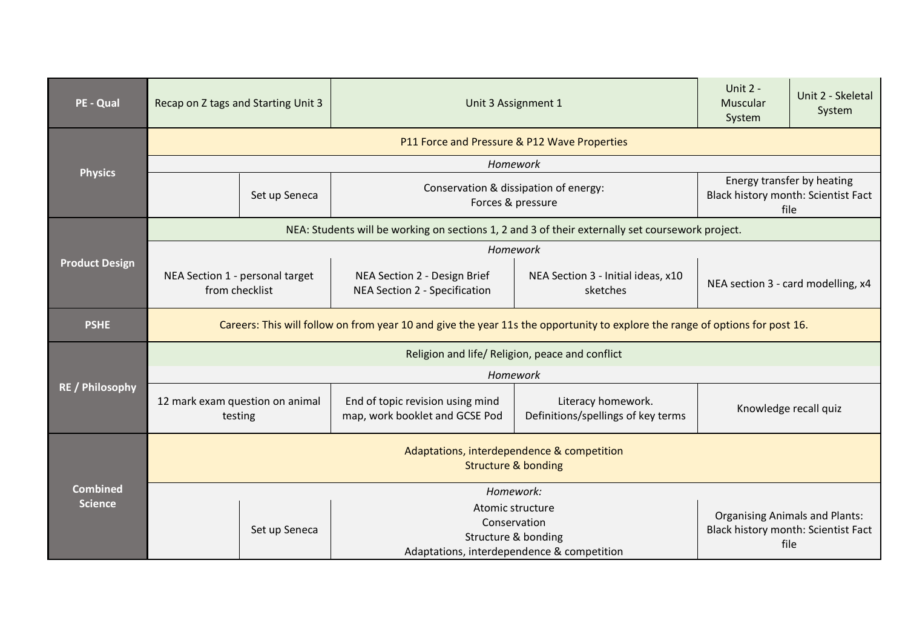| PE - Qual                         | Recap on Z tags and Starting Unit 3                                                                                          |               | Unit 3 Assignment 1                                                                                             | Unit 2 -<br>Muscular<br>System                           | Unit 2 - Skeletal<br>System                                                          |                       |  |  |  |
|-----------------------------------|------------------------------------------------------------------------------------------------------------------------------|---------------|-----------------------------------------------------------------------------------------------------------------|----------------------------------------------------------|--------------------------------------------------------------------------------------|-----------------------|--|--|--|
|                                   | P11 Force and Pressure & P12 Wave Properties                                                                                 |               |                                                                                                                 |                                                          |                                                                                      |                       |  |  |  |
| <b>Physics</b>                    | Homework                                                                                                                     |               |                                                                                                                 |                                                          |                                                                                      |                       |  |  |  |
|                                   | Set up Seneca                                                                                                                |               | Conservation & dissipation of energy:<br>Forces & pressure                                                      |                                                          | Energy transfer by heating<br>Black history month: Scientist Fact<br>file            |                       |  |  |  |
|                                   |                                                                                                                              |               | NEA: Students will be working on sections 1, 2 and 3 of their externally set coursework project.                |                                                          |                                                                                      |                       |  |  |  |
|                                   |                                                                                                                              |               | Homework                                                                                                        |                                                          |                                                                                      |                       |  |  |  |
| <b>Product Design</b>             | NEA Section 1 - personal target<br>from checklist                                                                            |               | NEA Section 2 - Design Brief<br>NEA Section 3 - Initial ideas, x10<br>NEA Section 2 - Specification<br>sketches |                                                          | NEA section 3 - card modelling, x4                                                   |                       |  |  |  |
| <b>PSHE</b>                       | Careers: This will follow on from year 10 and give the year 11s the opportunity to explore the range of options for post 16. |               |                                                                                                                 |                                                          |                                                                                      |                       |  |  |  |
|                                   | Religion and life/ Religion, peace and conflict                                                                              |               |                                                                                                                 |                                                          |                                                                                      |                       |  |  |  |
|                                   | Homework                                                                                                                     |               |                                                                                                                 |                                                          |                                                                                      |                       |  |  |  |
| <b>RE / Philosophy</b>            | 12 mark exam question on animal<br>testing                                                                                   |               | End of topic revision using mind<br>map, work booklet and GCSE Pod                                              | Literacy homework.<br>Definitions/spellings of key terms |                                                                                      | Knowledge recall quiz |  |  |  |
| <b>Combined</b><br><b>Science</b> | Adaptations, interdependence & competition<br><b>Structure &amp; bonding</b>                                                 |               |                                                                                                                 |                                                          |                                                                                      |                       |  |  |  |
|                                   | Homework:                                                                                                                    |               |                                                                                                                 |                                                          |                                                                                      |                       |  |  |  |
|                                   |                                                                                                                              | Set up Seneca | Atomic structure<br>Conservation<br>Structure & bonding<br>Adaptations, interdependence & competition           |                                                          | <b>Organising Animals and Plants:</b><br>Black history month: Scientist Fact<br>file |                       |  |  |  |